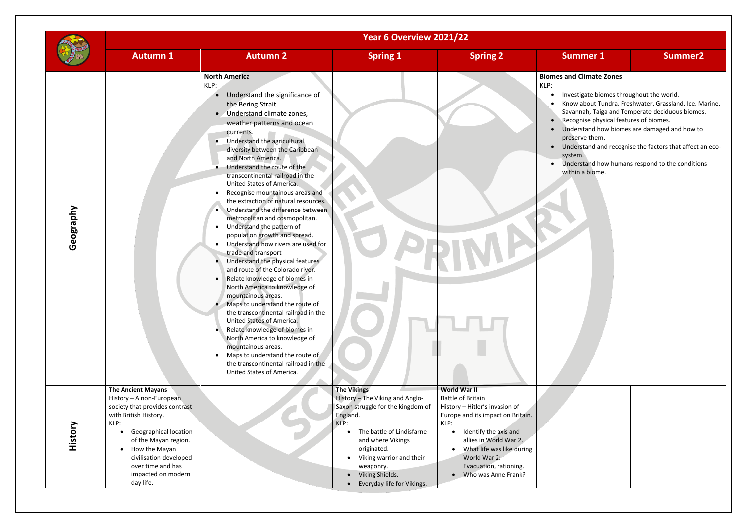#### **Biomes and Climate Zones**

|           |                                                                                                                                                                                                                                                                              | Year 6 Overview 2021/22                                                                                                                                                                                                                                                                                                                                                                                                                                                                                                                                                                                                                                                                                                                                                                                                                                                                                                                                                                                                                                                                                                                         |                                                                                                                                                                                                                                                                                        |                                                                                                                                                                                                                                                                            |                                                                                                                                                                                                                                                                                                                                                                                                                                             |                |  |
|-----------|------------------------------------------------------------------------------------------------------------------------------------------------------------------------------------------------------------------------------------------------------------------------------|-------------------------------------------------------------------------------------------------------------------------------------------------------------------------------------------------------------------------------------------------------------------------------------------------------------------------------------------------------------------------------------------------------------------------------------------------------------------------------------------------------------------------------------------------------------------------------------------------------------------------------------------------------------------------------------------------------------------------------------------------------------------------------------------------------------------------------------------------------------------------------------------------------------------------------------------------------------------------------------------------------------------------------------------------------------------------------------------------------------------------------------------------|----------------------------------------------------------------------------------------------------------------------------------------------------------------------------------------------------------------------------------------------------------------------------------------|----------------------------------------------------------------------------------------------------------------------------------------------------------------------------------------------------------------------------------------------------------------------------|---------------------------------------------------------------------------------------------------------------------------------------------------------------------------------------------------------------------------------------------------------------------------------------------------------------------------------------------------------------------------------------------------------------------------------------------|----------------|--|
|           | <b>Autumn 1</b>                                                                                                                                                                                                                                                              | <b>Autumn 2</b>                                                                                                                                                                                                                                                                                                                                                                                                                                                                                                                                                                                                                                                                                                                                                                                                                                                                                                                                                                                                                                                                                                                                 | <b>Spring 1</b>                                                                                                                                                                                                                                                                        | <b>Spring 2</b>                                                                                                                                                                                                                                                            | <b>Summer 1</b>                                                                                                                                                                                                                                                                                                                                                                                                                             | <b>Summer2</b> |  |
| Geography |                                                                                                                                                                                                                                                                              | <b>North America</b><br>KLP:<br>Understand the significance of<br>the Bering Strait<br>Understand climate zones,<br>weather patterns and ocean<br>currents.<br>Understand the agricultural<br>$\bullet$<br>diversity between the Caribbean<br>and North America.<br>Understand the route of the<br>transcontinental railroad in the<br>United States of America.<br>Recognise mountainous areas and<br>the extraction of natural resources.<br>Understand the difference between<br>metropolitan and cosmopolitan.<br>Understand the pattern of<br>population growth and spread.<br>Understand how rivers are used for<br>$\bullet$<br>trade and transport<br>Understand the physical features<br>and route of the Colorado river.<br>Relate knowledge of biomes in<br>$\bullet$<br>North America to knowledge of<br>mountainous areas.<br>Maps to understand the route of<br>the transcontinental railroad in the<br>United States of America.<br>Relate knowledge of biomes in<br>North America to knowledge of<br>mountainous areas.<br>Maps to understand the route of<br>the transcontinental railroad in the<br>United States of America. |                                                                                                                                                                                                                                                                                        |                                                                                                                                                                                                                                                                            | <b>Biomes and Climate Zones</b><br>KLP:<br>Investigate biomes throughout the world.<br>Know about Tundra, Freshwater, Grassland, Ice, M<br>Savannah, Taiga and Temperate deciduous biomes<br>Recognise physical features of biomes.<br>Understand how biomes are damaged and how to<br>preserve them.<br>Understand and recognise the factors that affect a<br>system.<br>Understand how humans respond to the condition<br>within a biome. |                |  |
| History   | <b>The Ancient Mayans</b><br>History - A non-European<br>society that provides contrast<br>with British History.<br>KLP:<br>Geographical location<br>of the Mayan region.<br>How the Mayan<br>civilisation developed<br>over time and has<br>impacted on modern<br>day life. |                                                                                                                                                                                                                                                                                                                                                                                                                                                                                                                                                                                                                                                                                                                                                                                                                                                                                                                                                                                                                                                                                                                                                 | <b>The Vikings</b><br>History - The Viking and Anglo-<br>Saxon struggle for the kingdom of<br>England.<br>KLP:<br>The battle of Lindisfarne<br>$\bullet$<br>and where Vikings<br>originated.<br>Viking warrior and their<br>weaponry.<br>Viking Shields.<br>Everyday life for Vikings. | World War II<br><b>Battle of Britain</b><br>History - Hitler's invasion of<br>Europe and its impact on Britain.<br>KLP:<br>Identify the axis and<br>allies in World War 2.<br>What life was like during<br>World War 2:<br>Evacuation, rationing.<br>• Who was Anne Frank? |                                                                                                                                                                                                                                                                                                                                                                                                                                             |                |  |

- Investigate biomes throughout the world.
- Know about Tundra, Freshwater, Grassland, Ice, Marine, Savannah, Taiga and Temperate deciduous biomes. Recognise physical features of biomes.
- Understand how biomes are damaged and how to preserve them.
- Understand and recognise the factors that affect an ecoystem.
- Understand how humans respond to the conditions within a biome.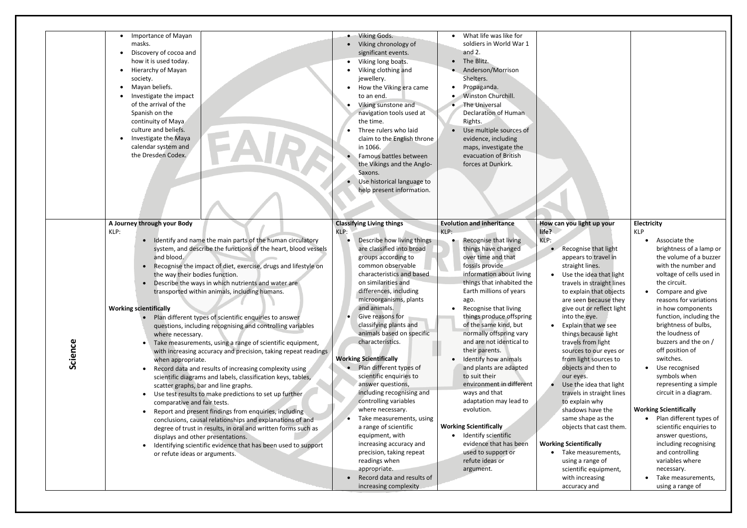| Importance of Mayan<br>masks.<br>Discovery of cocoa and<br>$\bullet$<br>how it is used today.<br>Hierarchy of Mayan<br>society.<br>Mayan beliefs.<br>Investigate the impact<br>of the arrival of the<br>Spanish on the<br>continuity of Maya<br>culture and beliefs.<br>Investigate the Maya<br>calendar system and<br>the Dresden Codex.                                                                                                                                                                                                                                                                                                                                                                                                                                                                                                                                                                                                                                                                                                                                                                                                                                                                                                                                                                                            | • Viking Gods.<br>Viking chronology of<br>significant events.<br>Viking long boats.<br>$\bullet$<br>Viking clothing and<br>jewellery.<br>How the Viking era came<br>to an end.<br>Viking sunstone and<br>navigation tools used at<br>the time.<br>Three rulers who laid<br>claim to the English throne<br>in 1066.<br>Famous battles between<br>the Vikings and the Anglo-<br>Saxons.<br>Use historical language to<br>help present information.                                                                                                                                                                                                                                                                                                                                    | What life was like for<br>soldiers in World War 1<br>and $2.$<br>The Blitz.<br>$\bullet$<br>Anderson/Morrison<br>Shelters.<br>Propaganda.<br>Winston Churchill.<br>The Universal<br><b>Declaration of Human</b><br>Rights.<br>Use multiple sources of<br>evidence, including<br>maps, investigate the<br>evacuation of British<br>forces at Dunkirk.                                                                                                                                                                                                                                                                                                                                 |                                                                                                                                                                                                                                                                                                                                                                                                                                                                                                                                                                                                                                                                                                                            |                                                                                                                                                                                                                                                                                                                                                                                                                                                                                                                                                                                                                                                                                                     |
|--------------------------------------------------------------------------------------------------------------------------------------------------------------------------------------------------------------------------------------------------------------------------------------------------------------------------------------------------------------------------------------------------------------------------------------------------------------------------------------------------------------------------------------------------------------------------------------------------------------------------------------------------------------------------------------------------------------------------------------------------------------------------------------------------------------------------------------------------------------------------------------------------------------------------------------------------------------------------------------------------------------------------------------------------------------------------------------------------------------------------------------------------------------------------------------------------------------------------------------------------------------------------------------------------------------------------------------|-------------------------------------------------------------------------------------------------------------------------------------------------------------------------------------------------------------------------------------------------------------------------------------------------------------------------------------------------------------------------------------------------------------------------------------------------------------------------------------------------------------------------------------------------------------------------------------------------------------------------------------------------------------------------------------------------------------------------------------------------------------------------------------|--------------------------------------------------------------------------------------------------------------------------------------------------------------------------------------------------------------------------------------------------------------------------------------------------------------------------------------------------------------------------------------------------------------------------------------------------------------------------------------------------------------------------------------------------------------------------------------------------------------------------------------------------------------------------------------|----------------------------------------------------------------------------------------------------------------------------------------------------------------------------------------------------------------------------------------------------------------------------------------------------------------------------------------------------------------------------------------------------------------------------------------------------------------------------------------------------------------------------------------------------------------------------------------------------------------------------------------------------------------------------------------------------------------------------|-----------------------------------------------------------------------------------------------------------------------------------------------------------------------------------------------------------------------------------------------------------------------------------------------------------------------------------------------------------------------------------------------------------------------------------------------------------------------------------------------------------------------------------------------------------------------------------------------------------------------------------------------------------------------------------------------------|
| A Journey through your Body<br>KLP:<br>• Identify and name the main parts of the human circulatory<br>system, and describe the functions of the heart, blood vessels<br>and blood.<br>Recognise the impact of diet, exercise, drugs and lifestyle on<br>the way their bodies function.<br>• Describe the ways in which nutrients and water are<br>transported within animals, including humans.<br><b>Working scientifically</b><br>Plan different types of scientific enquiries to answer<br>questions, including recognising and controlling variables<br>where necessary.<br>Science<br>Take measurements, using a range of scientific equipment,<br>with increasing accuracy and precision, taking repeat readings<br>when appropriate.<br>Record data and results of increasing complexity using<br>scientific diagrams and labels, classification keys, tables,<br>scatter graphs, bar and line graphs.<br>Use test results to make predictions to set up further<br>comparative and fair tests.<br>Report and present findings from enquiries, including<br>conclusions, causal relationships and explanations of and<br>degree of trust in results, in oral and written forms such as<br>displays and other presentations.<br>Identifying scientific evidence that has been used to support<br>or refute ideas or arguments. | <b>Classifying Living things</b><br>KLP:<br>Describe how living things<br>are classified into broad<br>groups according to<br>common observable<br>characteristics and based<br>on similarities and<br>differences, including<br>microorganisms, plants<br>and animals.<br>Give reasons for<br>classifying plants and<br>animals based on specific<br>characteristics.<br><b>Working Scientifically</b><br>Plan different types of<br>scientific enquiries to<br>answer questions,<br>including recognising and<br>controlling variables<br>where necessary.<br>Take measurements, using<br>a range of scientific<br>equipment, with<br>increasing accuracy and<br>precision, taking repeat<br>readings when<br>appropriate.<br>Record data and results of<br>increasing complexity | <b>Evolution and inheritance</b><br>KLP:<br>Recognise that living<br>things have changed<br>over time and that<br>fossils provide<br>information about living<br>things that inhabited the<br>Earth millions of years<br>ago.<br>Recognise that living<br>things produce offspring<br>of the same kind, but<br>normally offspring vary<br>and are not identical to<br>their parents.<br>Identify how animals<br>and plants are adapted<br>to suit their<br>environment in different<br>ways and that<br>adaptation may lead to<br>evolution.<br><b>Working Scientifically</b><br>Identify scientific<br>evidence that has been<br>used to support or<br>refute ideas or<br>argument. | How can you light up your<br>life?<br>KLP:<br>Recognise that light<br>appears to travel in<br>straight lines.<br>Use the idea that light<br>travels in straight lines<br>to explain that objects<br>are seen because they<br>give out or reflect light<br>into the eye.<br>Explain that we see<br>things because light<br>travels from light<br>sources to our eyes or<br>from light sources to<br>objects and then to<br>our eyes.<br>Use the idea that light<br>travels in straight lines<br>to explain why<br>shadows have the<br>same shape as the<br>objects that cast them.<br><b>Working Scientifically</b><br>• Take measurements,<br>using a range of<br>scientific equipment,<br>with increasing<br>accuracy and | <b>Electricity</b><br><b>KLP</b><br>Associate the<br>brightness of a lamp or<br>the volume of a buzzer<br>with the number and<br>voltage of cells used in<br>the circuit.<br>Compare and give<br>reasons for variations<br>in how components<br>function, including the<br>brightness of bulbs,<br>the loudness of<br>buzzers and the on /<br>off position of<br>switches.<br>Use recognised<br>symbols when<br>representing a simple<br>circuit in a diagram.<br><b>Working Scientifically</b><br>Plan different types of<br>scientific enquiries to<br>answer questions,<br>including recognising<br>and controlling<br>variables where<br>necessary.<br>• Take measurements,<br>using a range of |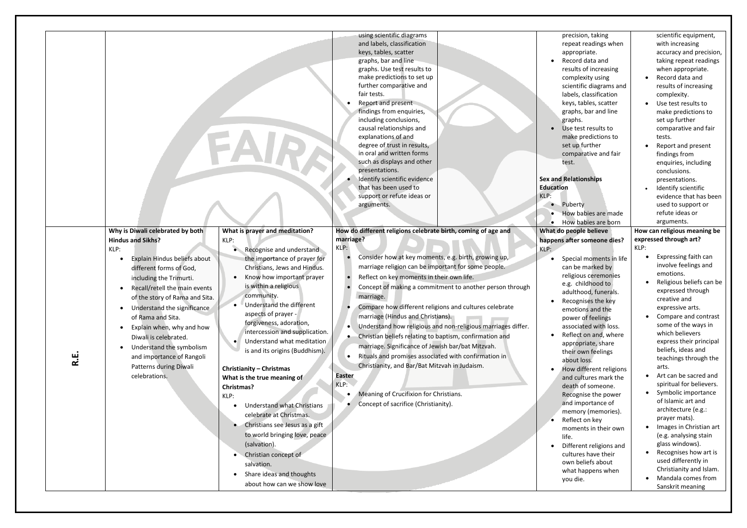| ن<br>ا | Why is Diwali celebrated by both<br><b>Hindus and Sikhs?</b><br>KLP:<br>Explain Hindus beliefs about<br>different forms of God,<br>including the Trimurti.<br>Recall/retell the main events<br>$\bullet$<br>of the story of Rama and Sita.<br>Understand the significance<br>of Rama and Sita.<br>Explain when, why and how<br>$\bullet$<br>Diwali is celebrated.<br>Understand the symbolism<br>and importance of Rangoli<br>Patterns during Diwali<br>celebrations. | What is prayer and meditation?<br>KLP:<br>Recognise and understand<br>the importance of prayer for<br>Christians, Jews and Hindus.<br>Know how important prayer<br>is within a religious<br>community.<br>Understand the different<br>aspects of prayer -<br>forgiveness, adoration,<br>intercession and supplication.<br>Understand what meditation<br>is and its origins (Buddhism).<br><b>Christianity - Christmas</b><br>What is the true meaning of<br>Christmas? | using scientific diagrams<br>and labels, classification<br>keys, tables, scatter<br>graphs, bar and line<br>graphs. Use test results to<br>make predictions to set up<br>further comparative and<br>fair tests.<br>Report and present<br>findings from enquiries,<br>including conclusions,<br>causal relationships and<br>explanations of and<br>degree of trust in results,<br>in oral and written forms<br>such as displays and other<br>presentations.<br>Identify scientific evidence<br>that has been used to<br>support or refute ideas or<br>arguments.<br>How do different religions celebrate birth, coming of age and<br>marriage?<br>KLP:<br>Consider how at key moments, e.g. birth, growing up,<br>marriage religion can be important for some people.<br>Reflect on key moments in their own life.<br>Concept of making a commitment to another person through<br>marriage.<br>Compare how different religions and cultures celebrate<br>marriage (Hindus and Christians).<br>Understand how religious and non-religious marriages differ.<br>$\bullet$<br>Christian beliefs relating to baptism, confirmation and<br>marriage. Significance of Jewish bar/bat Mitzvah.<br>Rituals and promises associated with confirmation in<br>Christianity, and Bar/Bat Mitzvah in Judaism.<br><b>Easter</b><br>KLP: | precision, taking<br>repeat readings when<br>appropriate.<br>Record data and<br>results of increasing<br>complexity using<br>scientific diagrams and<br>labels, classification<br>keys, tables, scatter<br>graphs, bar and line<br>graphs.<br>Use test results to<br>make predictions to<br>set up further<br>comparative and fair<br>test.<br><b>Sex and Relationships</b><br><b>Education</b><br>KLP:<br>Puberty<br>$\bullet$<br>How babies are made<br>• How babies are born<br>What do people believe<br>happens after someone dies?<br>KLP:<br>Special moments in life<br>can be marked by<br>religious ceremonies<br>e.g. childhood to<br>adulthood, funerals.<br>Recognises the key<br>$\bullet$<br>emotions and the<br>power of feelings<br>associated with loss.<br>Reflect on and, where<br>appropriate, share<br>their own feelings<br>about loss.<br>How different religions<br>and cultures mark the<br>death of someone. | scientific equipment,<br>with increasing<br>accuracy and precision,<br>taking repeat readings<br>when appropriate.<br>Record data and<br>$\bullet$<br>results of increasing<br>complexity.<br>Use test results to<br>$\bullet$<br>make predictions to<br>set up further<br>comparative and fair<br>tests.<br>Report and present<br>findings from<br>enquiries, including<br>conclusions.<br>presentations.<br>Identify scientific<br>$\bullet$<br>evidence that has been<br>used to support or<br>refute ideas or<br>arguments.<br>How can religious meaning be<br>expressed through art?<br>KLP:<br>Expressing faith can<br>involve feelings and<br>emotions.<br>expressed through<br>creative and<br>expressive arts.<br>Compare and contrast<br>some of the ways in<br>which believers<br>express their principal<br>beliefs, ideas and<br>teachings through the<br>arts.<br>Art can be sacred and<br>$\bullet$<br>spiritual for believers. |
|--------|-----------------------------------------------------------------------------------------------------------------------------------------------------------------------------------------------------------------------------------------------------------------------------------------------------------------------------------------------------------------------------------------------------------------------------------------------------------------------|------------------------------------------------------------------------------------------------------------------------------------------------------------------------------------------------------------------------------------------------------------------------------------------------------------------------------------------------------------------------------------------------------------------------------------------------------------------------|--------------------------------------------------------------------------------------------------------------------------------------------------------------------------------------------------------------------------------------------------------------------------------------------------------------------------------------------------------------------------------------------------------------------------------------------------------------------------------------------------------------------------------------------------------------------------------------------------------------------------------------------------------------------------------------------------------------------------------------------------------------------------------------------------------------------------------------------------------------------------------------------------------------------------------------------------------------------------------------------------------------------------------------------------------------------------------------------------------------------------------------------------------------------------------------------------------------------------------------------------------------------------------------------------------------------------|----------------------------------------------------------------------------------------------------------------------------------------------------------------------------------------------------------------------------------------------------------------------------------------------------------------------------------------------------------------------------------------------------------------------------------------------------------------------------------------------------------------------------------------------------------------------------------------------------------------------------------------------------------------------------------------------------------------------------------------------------------------------------------------------------------------------------------------------------------------------------------------------------------------------------------------|------------------------------------------------------------------------------------------------------------------------------------------------------------------------------------------------------------------------------------------------------------------------------------------------------------------------------------------------------------------------------------------------------------------------------------------------------------------------------------------------------------------------------------------------------------------------------------------------------------------------------------------------------------------------------------------------------------------------------------------------------------------------------------------------------------------------------------------------------------------------------------------------------------------------------------------------|
|        |                                                                                                                                                                                                                                                                                                                                                                                                                                                                       | KLP:<br><b>Understand what Christians</b><br>celebrate at Christmas.<br>Christians see Jesus as a gift<br>to world bringing love, peace<br>(salvation).<br>Christian concept of<br>salvation.<br>Share ideas and thoughts                                                                                                                                                                                                                                              | Meaning of Crucifixion for Christians.<br>Concept of sacrifice (Christianity).                                                                                                                                                                                                                                                                                                                                                                                                                                                                                                                                                                                                                                                                                                                                                                                                                                                                                                                                                                                                                                                                                                                                                                                                                                           | Recognise the power<br>and importance of<br>memory (memories).<br>Reflect on key<br>moments in their own<br>life.<br>Different religions and<br>cultures have their<br>own beliefs about<br>what happens when                                                                                                                                                                                                                                                                                                                                                                                                                                                                                                                                                                                                                                                                                                                          | Religious beliefs can be<br>Symbolic importance<br>$\bullet$<br>of Islamic art and<br>architecture (e.g.:<br>prayer mats).<br>Images in Christian art<br>$\bullet$<br>(e.g. analysing stain<br>glass windows).<br>Recognises how art is<br>$\bullet$<br>used differently in<br>Christianity and Islam.                                                                                                                                                                                                                                                                                                                                                                                                                                                                                                                                                                                                                                         |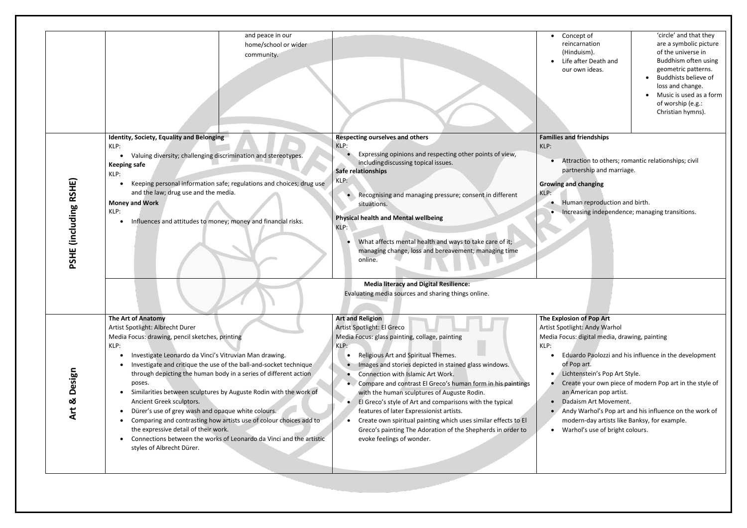|           | Concept of           | 'circle' and that they  |
|-----------|----------------------|-------------------------|
|           | reincarnation        | are a symbolic picture  |
|           | (Hinduism).          | of the universe in      |
| $\bullet$ | Life after Death and | Buddhism often using    |
|           | our own ideas.       | geometric patterns.     |
|           |                      | Buddhists believe of    |
|           |                      | loss and change.        |
|           |                      | Music is used as a form |
|           |                      | of worship (e.g.:       |
|           |                      | Christian hymns).       |
|           |                      |                         |

# **Families** and friendships

• Attraction to others; romantic relationships; civil partnership and marriage.

## and changing

• Human reproduction and birth. • Increasing independence; managing transitions.

### **The Explosion of Pop Art** otlight: Andy Warhol ocus: digital media, drawing, painting

| <b>PSHE (including RSHE)</b> | and peace in our<br>home/school or wider<br>community.<br>Identity, Society, Equality and Belonging<br>KLP:<br>Valuing diversity; challenging discrimination and stereotypes.<br>$\bullet$<br><b>Keeping safe</b><br>KLP:<br>Keeping personal information safe; regulations and choices; drug use<br>$\bullet$<br>and the law; drug use and the media.<br><b>Money and Work</b><br>KLP:<br>Influences and attitudes to money; money and financial risks.<br>$\bullet$ | <b>Respecting ourselves and others</b><br>KLP:<br>Expressing opinions and respecting other points of view,<br>including discussing topical issues.<br>Safe relationships<br>KLP:<br>Recognising and managing pressure; consent in different<br>situations.<br><b>Physical health and Mental wellbeing</b><br>KLP:<br>What affects mental health and ways to take care of it;<br>managing change, loss and bereavement; managing time<br>online. | <b>Families</b><br>KLP:<br><b>Growing</b><br>KLP:  |
|------------------------------|-----------------------------------------------------------------------------------------------------------------------------------------------------------------------------------------------------------------------------------------------------------------------------------------------------------------------------------------------------------------------------------------------------------------------------------------------------------------------|-------------------------------------------------------------------------------------------------------------------------------------------------------------------------------------------------------------------------------------------------------------------------------------------------------------------------------------------------------------------------------------------------------------------------------------------------|----------------------------------------------------|
|                              | <b>The Art of Anatomy</b><br>Artist Spotlight: Albrecht Durer<br>Media Focus: drawing, pencil sketches, printing<br>KLP:<br>Investigate Leonardo da Vinci's Vitruvian Man drawing.<br>$\bullet$<br>Investigate and critique the use of the ball-and-socket technique                                                                                                                                                                                                  | <b>Media literacy and Digital Resilience:</b><br>Evaluating media sources and sharing things online.<br><b>Art and Religion</b><br>Artist Spotlight: El Greco<br>Media Focus: glass painting, collage, painting<br>KLP:<br>Religious Art and Spiritual Themes.<br>Images and stories depicted in stained glass windows.                                                                                                                         | <b>The Explo</b><br>Artist Spo<br>Media Fo<br>KLP: |
| Design<br>Art &              | through depicting the human body in a series of different action<br>poses.<br>Similarities between sculptures by Auguste Rodin with the work of<br>Ancient Greek sculptors.<br>Dürer's use of grey wash and opaque white colours.<br>$\bullet$<br>Comparing and contrasting how artists use of colour choices add to<br>the expressive detail of their work.<br>Connections between the works of Leonardo da Vinci and the artistic<br>styles of Albrecht Dürer.      | Connection with Islamic Art Work.<br>Compare and contrast El Greco's human form in his paintings<br>with the human sculptures of Auguste Rodin.<br>El Greco's style of Art and comparisons with the typical<br>features of later Expressionist artists.<br>Create own spiritual painting which uses similar effects to El<br>Greco's painting The Adoration of the Shepherds in order to<br>evoke feelings of wonder.                           |                                                    |

Eduardo Paolozzi and his influence in the development of Pop art.

Create your own piece of modern Pop art in the style of an American pop artist.

Andy Warhol's Pop art and his influence on the work of modern-day artists like Banksy, for example.

• Lichtenstein's Pop Art Style.

• Dadaism Art Movement.

• Warhol's use of bright colours.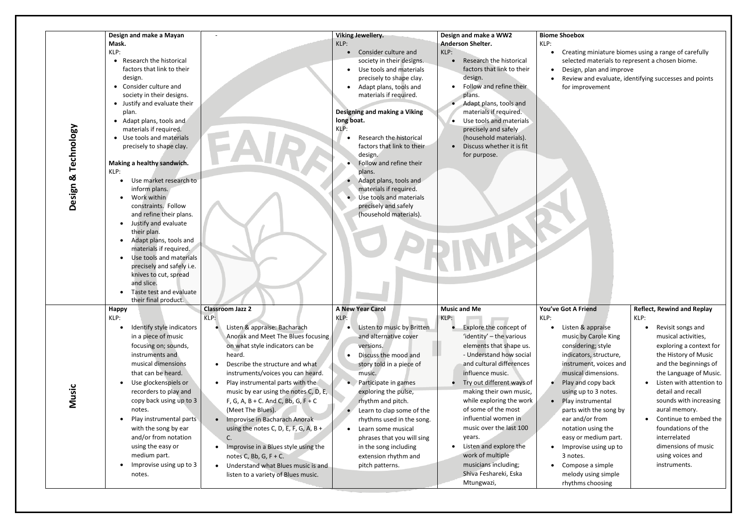#### **Biome Shoebox**

- ating miniature biomes using a range of carefully ected materials to represent a chosen biome.
- ign, plan and improve
- riew and evaluate, identifying successes and points improvement

#### **A Friend**

en & appraise sic by Carole King sidering; style icators, structure, trument, voices and sical dimensions. y and copy back ng up to 3 notes. y instrumental ts with the song by and/or from tation using the sy or medium part. orovise using up to otes.

mpose a simple lody using simple thms choosing

| Technology<br>Design & | Design and make a Mayan<br>Mask.<br>KLP:<br>Research the historical<br>$\bullet$<br>factors that link to their<br>design.<br>• Consider culture and<br>society in their designs.<br>• Justify and evaluate their<br>plan.<br>• Adapt plans, tools and<br>materials if required.<br>• Use tools and materials<br>precisely to shape clay.<br>Making a healthy sandwich.<br>KLP:<br>Use market research to<br>inform plans.<br>Work within<br>constraints. Follow<br>and refine their plans.<br>Justify and evaluate<br>their plan.<br>Adapt plans, tools and<br>materials if required.<br>Use tools and materials<br>precisely and safely i.e.<br>knives to cut, spread<br>and slice.<br>Taste test and evaluate |                                                                                                                                                                                                                                                                                                                                                                                                                                                                                                                                                                                                       | <b>Viking Jewellery.</b><br>KLP:<br>Consider culture and<br>society in their designs.<br>Use tools and materials<br>precisely to shape clay.<br>Adapt plans, tools and<br>materials if required.<br>Designing and making a Viking<br>long boat.<br>KLP:<br>Research the historical<br>factors that link to their<br>design.<br>Follow and refine their<br>plans.<br>Adapt plans, tools and<br>materials if required.<br>Use tools and materials<br>precisely and safely<br>(household materials). | Design and make a WW2<br><b>Anderson Shelter.</b><br>KLP:<br>Research the historical<br>$\bullet$<br>factors that link to their<br>design.<br>Follow and refine their<br>plans.<br>Adapt plans, tools and<br>materials if required.<br>Use tools and materials<br>$\bullet$<br>precisely and safely<br>(household materials).<br>Discuss whether it is fit<br>for purpose.                                                                                                   | <b>Biome Shoebo</b><br>KLP:<br>Creati<br>select<br>Desigr<br>Review<br>for im                                                                                                                          |
|------------------------|-----------------------------------------------------------------------------------------------------------------------------------------------------------------------------------------------------------------------------------------------------------------------------------------------------------------------------------------------------------------------------------------------------------------------------------------------------------------------------------------------------------------------------------------------------------------------------------------------------------------------------------------------------------------------------------------------------------------|-------------------------------------------------------------------------------------------------------------------------------------------------------------------------------------------------------------------------------------------------------------------------------------------------------------------------------------------------------------------------------------------------------------------------------------------------------------------------------------------------------------------------------------------------------------------------------------------------------|---------------------------------------------------------------------------------------------------------------------------------------------------------------------------------------------------------------------------------------------------------------------------------------------------------------------------------------------------------------------------------------------------------------------------------------------------------------------------------------------------|------------------------------------------------------------------------------------------------------------------------------------------------------------------------------------------------------------------------------------------------------------------------------------------------------------------------------------------------------------------------------------------------------------------------------------------------------------------------------|--------------------------------------------------------------------------------------------------------------------------------------------------------------------------------------------------------|
| Music                  | their final product.<br><b>Happy</b><br>KLP:<br>Identify style indicators<br>in a piece of music<br>focusing on; sounds,<br>instruments and<br>musical dimensions<br>that can be heard.<br>Use glockenspiels or<br>recorders to play and<br>copy back using up to 3<br>notes.<br>Play instrumental parts<br>with the song by ear<br>and/or from notation<br>using the easy or<br>medium part.<br>Improvise using up to 3<br>notes.                                                                                                                                                                                                                                                                              | <b>Classroom Jazz 2</b><br>KLP:<br>Listen & appraise: Bacharach<br>Anorak and Meet The Blues focusing<br>on what style indicators can be<br>heard.<br>Describe the structure and what<br>instruments/voices you can heard.<br>Play instrumental parts with the<br>music by ear using the notes C, D, E,<br>F, G, A, B + C. And C, Bb, G, F + C<br>(Meet The Blues).<br>Improvise in Bacharach Anorak<br>using the notes C, D, E, F, G, A, B +<br>C.<br>Improvise in a Blues style using the<br>notes C, Bb, G, $F + C$ .<br>Understand what Blues music is and<br>listen to a variety of Blues music. | <b>A New Year Carol</b><br>KLP:<br>Listen to music by Britten<br>and alternative cover<br>versions.<br>Discuss the mood and<br>story told in a piece of<br>music.<br>Participate in games<br>exploring the pulse,<br>rhythm and pitch.<br>Learn to clap some of the<br>rhythms used in the song.<br>Learn some musical<br>phrases that you will sing<br>in the song including<br>extension rhythm and<br>pitch patterns.                                                                          | <b>Music and Me</b><br>KLP:<br>Explore the concept of<br>'identity' – the various<br>elements that shape us.<br>- Understand how social<br>and cultural differences<br>influence music.<br>Try out different ways of<br>making their own music,<br>while exploring the work<br>of some of the most<br>influential women in<br>music over the last 100<br>years.<br>Listen and explore the<br>work of multiple<br>musicians including;<br>Shiva Feshareki, Eska<br>Mtungwazi, | You've Got A<br>KLP:<br>Listen<br>music<br>consid<br>indicat<br>instrui<br>musica<br>Play a<br>using<br>Play ir<br>parts \<br>ear an<br>notati<br>easy o<br>Impro<br>3 note<br>Comp<br>melod<br>rhythr |

#### **Reflect, Rewind and Replay**  KLP:

- Revisit songs and musical activities, exploring a context for the History of Music and the beginnings of the Language of Music.
- Listen with attention to detail and recall sounds with increasing aural memory.
- Continue to embed the foundations of the interrelated dimensions of music using voices and instruments.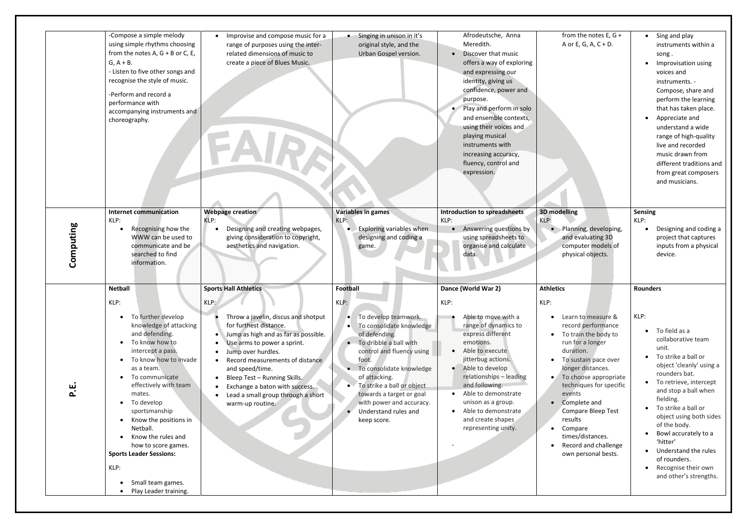|           | -Compose a simple melody<br>using simple rhythms choosing<br>from the notes A, $G + B$ or C, E,<br>$G, A + B.$<br>- Listen to five other songs and<br>recognise the style of music.<br>-Perform and record a<br>performance with<br>accompanying instruments and<br>choreography.                                                                                                                                                                                                       | Improvise and compose music for a<br>range of purposes using the inter-<br>related dimensions of music to<br>create a piece of Blues Music.                                                                                                                                                                                                                                                                    | Singing in unison in it's<br>original style, and the<br>Urban Gospel version.                                                                                                                                                                                                                                                     | Afrodeutsche, Anna<br>Meredith.<br>• Discover that music<br>offers a way of exploring<br>and expressing our<br>identity, giving us<br>confidence, power and<br>purpose.<br>Play and perform in solo<br>and ensemble contexts,<br>using their voices and<br>playing musical<br>instruments with<br>increasing accuracy,<br>fluency, control and<br>expression. | from the notes $E, G +$<br>A or E, G, A, C + D.                                                                                                                                                                                                                                                                                                                             | • Sing and play<br>instruments within a<br>song.<br>Improvisation using<br>voices and<br>instruments. -<br>Compose, share and<br>perform the learning<br>that has taken place.<br>• Appreciate and<br>understand a wide<br>range of high-quality<br>live and recorded<br>music drawn from<br>different traditions and<br>from great composers<br>and musicians.                                                           |
|-----------|-----------------------------------------------------------------------------------------------------------------------------------------------------------------------------------------------------------------------------------------------------------------------------------------------------------------------------------------------------------------------------------------------------------------------------------------------------------------------------------------|----------------------------------------------------------------------------------------------------------------------------------------------------------------------------------------------------------------------------------------------------------------------------------------------------------------------------------------------------------------------------------------------------------------|-----------------------------------------------------------------------------------------------------------------------------------------------------------------------------------------------------------------------------------------------------------------------------------------------------------------------------------|---------------------------------------------------------------------------------------------------------------------------------------------------------------------------------------------------------------------------------------------------------------------------------------------------------------------------------------------------------------|-----------------------------------------------------------------------------------------------------------------------------------------------------------------------------------------------------------------------------------------------------------------------------------------------------------------------------------------------------------------------------|---------------------------------------------------------------------------------------------------------------------------------------------------------------------------------------------------------------------------------------------------------------------------------------------------------------------------------------------------------------------------------------------------------------------------|
| Computing | <b>Internet communication</b><br>KLP:<br>Recognising how the<br>WWW can be used to<br>communicate and be<br>searched to find<br>information.                                                                                                                                                                                                                                                                                                                                            | Webpage creation<br>KLP:<br>Designing and creating webpages,<br>giving consideration to copyright,<br>aesthetics and navigation.                                                                                                                                                                                                                                                                               | <b>Variables in games</b><br>KLP:<br>Exploring variables when<br>designing and coding a<br>game.                                                                                                                                                                                                                                  | <b>Introduction to spreadsheets</b><br>KLP:<br>• Answering questions by<br>using spreadsheets to<br>organise and calculate<br>data.                                                                                                                                                                                                                           | 3D modelling<br>KLP:<br>Planning, developing,<br>and evaluating 3D<br>computer models of<br>physical objects.                                                                                                                                                                                                                                                               | <b>Sensing</b><br>KLP:<br>Designing and coding a<br>project that captures<br>inputs from a physical<br>device.                                                                                                                                                                                                                                                                                                            |
| ட்        | <b>Netball</b><br>KLP:<br>• To further develop<br>knowledge of attacking<br>and defending.<br>• To know how to<br>intercept a pass.<br>• To know how to invade<br>as a team.<br>• To communicate<br>effectively with team<br>mates.<br>To develop<br>$\bullet$<br>sportsmanship<br>• Know the positions in<br>Netball.<br>Know the rules and<br>$\bullet$<br>how to score games.<br><b>Sports Leader Sessions:</b><br>KLP:<br>Small team games.<br>$\bullet$<br>• Play Leader training. | <b>Sports Hall Athletics</b><br>KLP:<br>Throw a javelin, discus and shotput<br>for furthest distance.<br>Jump as high and as far as possible.<br>$\bullet$<br>Use arms to power a sprint.<br>$\bullet$<br>Jump over hurdles.<br>Record measurements of distance<br>and speed/time.<br>Bleep Test - Running Skills.<br>Exchange a baton with success.<br>Lead a small group through a short<br>warm-up routine. | Football<br>KLP:<br>• To develop teamwork.<br>To consolidate knowledge<br>of defending.<br>To dribble a ball with<br>control and fluency using<br>foot.<br>To consolidate knowledge<br>of attacking.<br>To strike a ball or object<br>towards a target or goal<br>with power and accuracy.<br>Understand rules and<br>keep score. | Dance (World War 2)<br>KLP:<br>Able to move with a<br>range of dynamics to<br>express different<br>emotions.<br>• Able to execute<br>jitterbug actions.<br>• Able to develop<br>relationships - leading<br>and following.<br>• Able to demonstrate<br>unison as a group.<br>• Able to demonstrate<br>and create shapes<br>representing unity.                 | <b>Athletics</b><br>KLP:<br>Learn to measure &<br>record performance<br>• To train the body to<br>run for a longer<br>duration.<br>To sustain pace over<br>longer distances.<br>To choose appropriate<br>techniques for specific<br>events<br>• Complete and<br>Compare Bleep Test<br>results<br>Compare<br>times/distances.<br>Record and challenge<br>own personal bests. | <b>Rounders</b><br>KLP:<br>$\bullet$ To field as a<br>collaborative team<br>unit.<br>• To strike a ball or<br>object 'cleanly' using a<br>rounders bat.<br>• To retrieve, intercept<br>and stop a ball when<br>fielding.<br>To strike a ball or<br>object using both sides<br>of the body.<br>Bowl accurately to a<br>'hitter'<br>• Understand the rules<br>of rounders.<br>Recognise their own<br>and other's strengths. |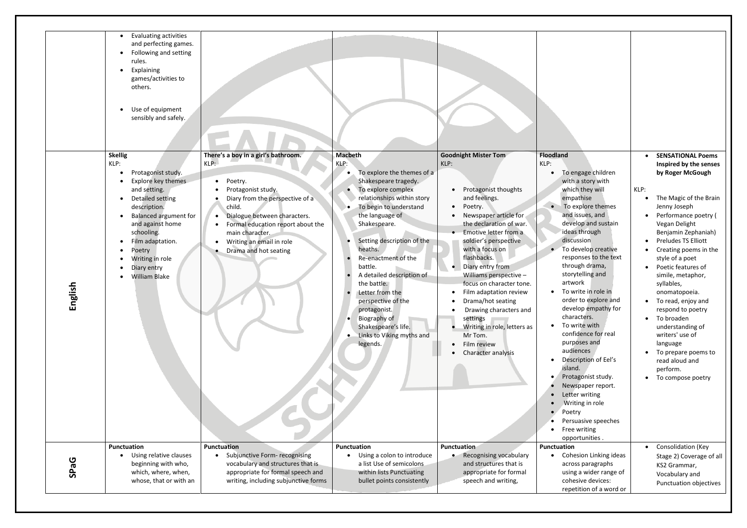|             | Evaluating activities<br>and perfecting games.<br>Following and setting<br>$\bullet$<br>rules.<br>Explaining<br>games/activities to<br>others.<br>Use of equipment<br>sensibly and safely.                                                                                                    |                                                                                                                                                                                                                                                                                                                                    |                                                                                                                                                                                                                                                                                                                                                                                                                                                                                   |                                                                                                                                                                                                                                                                                                                                                                                                                                                                               |                                                                                                                                                                                                                                                                                                     |
|-------------|-----------------------------------------------------------------------------------------------------------------------------------------------------------------------------------------------------------------------------------------------------------------------------------------------|------------------------------------------------------------------------------------------------------------------------------------------------------------------------------------------------------------------------------------------------------------------------------------------------------------------------------------|-----------------------------------------------------------------------------------------------------------------------------------------------------------------------------------------------------------------------------------------------------------------------------------------------------------------------------------------------------------------------------------------------------------------------------------------------------------------------------------|-------------------------------------------------------------------------------------------------------------------------------------------------------------------------------------------------------------------------------------------------------------------------------------------------------------------------------------------------------------------------------------------------------------------------------------------------------------------------------|-----------------------------------------------------------------------------------------------------------------------------------------------------------------------------------------------------------------------------------------------------------------------------------------------------|
| hglish<br>靣 | <b>Skellig</b><br>KLP:<br>Protagonist study.<br>Explore key themes<br>and setting.<br>Detailed setting<br>$\bullet$<br>description.<br><b>Balanced argument for</b><br>and against home<br>schooling.<br>Film adaptation.<br>Poetry<br>Writing in role<br>Diary entry<br><b>William Blake</b> | There's a boy in a girl's bathroom.<br>$KLP$ :<br>Poetry.<br>$\bullet$<br>Protagonist study.<br>Diary from the perspective of a<br>child.<br>Dialogue between characters.<br>$\bullet$<br>Formal education report about the<br>$\bullet$<br>main character.<br>Writing an email in role<br>$\bullet$<br>Drama and hot seating<br>٠ | <b>Macbeth</b><br>KLP:<br>To explore the themes of a<br>Shakespeare tragedy.<br>To explore complex<br>relationships within story<br>To begin to understand<br>the language of<br>Shakespeare.<br>Setting description of the<br>heaths.<br>Re-enactment of the<br>battle.<br>A detailed description of<br>the battle.<br>Letter from the<br>perspective of the<br>protagonist.<br><b>Biography of</b><br>$\bullet$<br>Shakespeare's life.<br>Links to Viking myths and<br>legends. | <b>Goodnight Mister Tom</b><br>KLP:<br>Protagonist thoughts<br>and feelings.<br>Poetry.<br>Newspaper article for<br>the declaration of war.<br>Emotive letter from a<br>soldier's perspective<br>with a focus on<br>flashbacks.<br>Diary entry from<br>Williams perspective -<br>focus on character tone.<br>Film adaptation review<br>Drama/hot seating<br>Drawing characters and<br>settings<br>Writing in role, letters as<br>Mr Tom.<br>Film review<br>Character analysis | Floodland<br>KLP:<br>To er<br>with<br>whic<br>emp<br>To e<br>and i<br>deve<br>ideas<br>discu<br>To de<br>respo<br>throu<br>story<br>artw<br>To w<br>orde<br>deve<br>chara<br>To w<br>confi<br>purp<br>audi<br>Desc<br>islan<br>Prota<br><b>New</b><br>Lette<br>Writ<br>Poet<br>Pers<br>Free<br>oppc |
| <b>SPaG</b> | <b>Punctuation</b><br>Using relative clauses<br>beginning with who,<br>which, where, when,<br>whose, that or with an                                                                                                                                                                          | <b>Punctuation</b><br>Subjunctive Form- recognising<br>$\bullet$<br>vocabulary and structures that is<br>appropriate for formal speech and<br>writing, including subjunctive forms                                                                                                                                                 | <b>Punctuation</b><br>Using a colon to introduce<br>a list Use of semicolons<br>within lists Punctuating<br>bullet points consistently                                                                                                                                                                                                                                                                                                                                            | <b>Punctuation</b><br>Recognising vocabulary<br>and structures that is<br>appropriate for formal<br>speech and writing,                                                                                                                                                                                                                                                                                                                                                       | Punctuation<br>Cohe<br>acros<br>using<br>cohe<br>repe                                                                                                                                                                                                                                               |

| dland |                             |      | <b>SENSATIONAL Poems</b>        |
|-------|-----------------------------|------|---------------------------------|
|       |                             |      | Inspired by the senses          |
|       | To engage children          |      | by Roger McGough                |
|       | with a story with           |      |                                 |
|       | which they will             | KLP: |                                 |
|       | empathise                   |      | The Magic of the Brain          |
|       | To explore themes           |      | Jenny Joseph                    |
|       | and issues, and             |      | Performance poetry (            |
|       | develop and sustain         |      | Vegan Delight                   |
|       | ideas through               |      | Benjamin Zephaniah)             |
|       | discussion                  |      | <b>Preludes TS Elliott</b>      |
|       | To develop creative         |      | Creating poems in the           |
|       | responses to the text       |      | style of a poet                 |
|       | through drama,              |      | Poetic features of              |
|       | storytelling and<br>artwork |      | simile, metaphor,               |
|       | To write in role in         |      | syllables,                      |
|       | order to explore and        |      | onomatopoeia.                   |
|       | develop empathy for         |      | To read, enjoy and              |
|       | characters.                 |      | respond to poetry<br>To broaden |
|       | To write with               |      | understanding of                |
|       | confidence for real         |      | writers' use of                 |
|       | purposes and                |      | language                        |
|       | audiences                   |      | To prepare poems to             |
|       | Description of Eel's        |      | read aloud and                  |
|       | island.                     |      | perform.                        |
|       | Protagonist study.          |      | To compose poetry               |
|       | Newspaper report.           |      |                                 |
|       | Letter writing              |      |                                 |
|       | Writing in role             |      |                                 |
|       | Poetry                      |      |                                 |
|       | Persuasive speeches         |      |                                 |
|       | Free writing                |      |                                 |
|       | opportunities.              |      |                                 |
|       | ctuation                    |      | Consolidation (Key              |
|       | Cohesion Linking ideas      |      | Stage 2) Coverage of all        |
|       | across paragraphs           |      | KS2 Grammar,                    |
|       | using a wider range of      |      | Vocabulary and                  |
|       | cohesive devices:           |      | Punctuation objectives          |
|       | repetition of a word or     |      |                                 |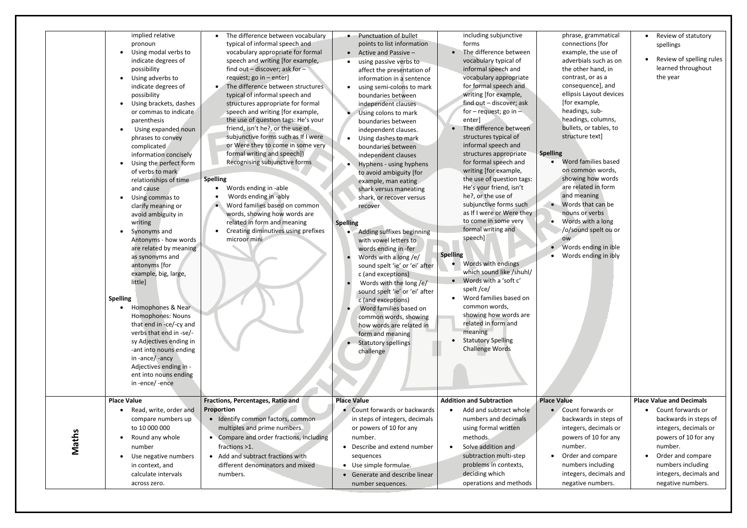|       | pronoun<br>Using modal verbs to<br>indicate degrees of<br>possibility<br>Using adverbs to<br>indicate degrees of<br>possibility<br>Using brackets, dashes<br>or commas to indicate<br>parenthesis<br>Using expanded noun<br>phrases to convey<br>complicated<br>information concisely<br>Using the perfect form<br>of verbs to mark<br>relationships of time<br>and cause<br>Using commas to<br>clarify meaning or<br>avoid ambiguity in<br>writing<br>Synonyms and<br>Antonyms - how words<br>are related by meaning<br>as synonyms and<br>antonyms [for<br>example, big, large,<br>little]<br><b>Spelling</b><br>Homophones & Near<br><b>Homophones: Nouns</b><br>that end in -ce/-cy and<br>verbs that end in -se/-<br>sy Adjectives ending in<br>-ant into nouns ending<br>in-ance/-ancy<br>Adjectives ending in -<br>ent into nouns ending<br>in-ence/-ence<br><b>Place Value</b> | typical of informal speech and<br>vocabulary appropriate for formal<br>speech and writing [for example,<br>find out - discover; ask for -<br>request; go in - enter]<br>The difference between structures<br>typical of informal speech and<br>structures appropriate for formal<br>speech and writing [for example,<br>the use of question tags: He's your<br>friend, isn't he?, or the use of<br>subjunctive forms such as If I were<br>or Were they to come in some very<br>formal writing and speech])<br>Recognising subjunctive forms<br><b>Spelling</b><br>Words ending in -able<br>Words ending in -ably<br>Word families based on common<br>words, showing how words are<br>related in form and meaning<br>Creating diminutives using prefixes<br>microor mini<br>Fractions, Percentages, Ratio and | points to list information<br>Active and Passive -<br>using passive verbs to<br>affect the presentation of<br>information in a sentence<br>using semi-colons to mark<br>boundaries between<br>independent clauses<br>Using colons to mark<br>boundaries between<br>independent clauses.<br>Using dashes to mark<br>boundaries between<br>independent clauses<br>Hyphens - using hyphens<br>to avoid ambiguity [for<br>example, man eating<br>shark versus maneating<br>shark, or recover versus<br>recover<br><b>Spelling</b><br>Adding suffixes beginning<br>$\bullet$<br>with vowel letters to<br>words ending in -fer<br>Words with a long /e/<br>sound spelt 'ie' or 'ei' after<br>c (and exceptions)<br>Words with the long /e/<br>sound spelt 'ie' or 'ei' after<br>c (and exceptions)<br>Word families based on<br>common words, showing<br>how words are related in<br>form and meaning<br>Statutory spellings<br>challenge<br><b>Place Value</b> | forms<br>The difference between<br>vocabulary typical of<br>informal speech and<br>vocabulary appropriate<br>for formal speech and<br>writing [for example,<br>find out - discover; ask<br>for $-$ request; go in $-$<br>enter]<br>The difference between<br>structures typical of<br>informal speech and<br>structures appropriate<br>for formal speech and<br>writing [for example,<br>the use of question tags:<br>He's your friend, isn't<br>he?, or the use of<br>subjunctive forms such<br>as If I were or Were they<br>to come in some very<br>formal writing and<br>speech]<br><b>Spelling</b><br>Words with endings<br>which sound like /shuhl/<br>Words with a 'soft c'<br>spelt /ce/<br>Word families based on<br>common words,<br>showing how words are<br>related in form and<br>meaning<br><b>Statutory Spelling</b><br>Challenge Words<br><b>Addition and Subtraction</b> | con<br>exa<br>adv<br>the<br>con<br>con<br>ellip<br>[for<br>hea<br>hea<br>bull<br>stru<br><b>Spelling</b><br>Wo<br>on o<br>sho<br>are<br>and<br>$\bullet$ Wo<br>nou<br>Wo<br>٠<br>/o/:<br><b>OW</b><br>$\bullet$ Wo<br>Wo<br><b>Place Value</b> |
|-------|----------------------------------------------------------------------------------------------------------------------------------------------------------------------------------------------------------------------------------------------------------------------------------------------------------------------------------------------------------------------------------------------------------------------------------------------------------------------------------------------------------------------------------------------------------------------------------------------------------------------------------------------------------------------------------------------------------------------------------------------------------------------------------------------------------------------------------------------------------------------------------------|--------------------------------------------------------------------------------------------------------------------------------------------------------------------------------------------------------------------------------------------------------------------------------------------------------------------------------------------------------------------------------------------------------------------------------------------------------------------------------------------------------------------------------------------------------------------------------------------------------------------------------------------------------------------------------------------------------------------------------------------------------------------------------------------------------------|-----------------------------------------------------------------------------------------------------------------------------------------------------------------------------------------------------------------------------------------------------------------------------------------------------------------------------------------------------------------------------------------------------------------------------------------------------------------------------------------------------------------------------------------------------------------------------------------------------------------------------------------------------------------------------------------------------------------------------------------------------------------------------------------------------------------------------------------------------------------------------------------------------------------------------------------------------------|------------------------------------------------------------------------------------------------------------------------------------------------------------------------------------------------------------------------------------------------------------------------------------------------------------------------------------------------------------------------------------------------------------------------------------------------------------------------------------------------------------------------------------------------------------------------------------------------------------------------------------------------------------------------------------------------------------------------------------------------------------------------------------------------------------------------------------------------------------------------------------------|------------------------------------------------------------------------------------------------------------------------------------------------------------------------------------------------------------------------------------------------|
| Maths | Read, write, order and                                                                                                                                                                                                                                                                                                                                                                                                                                                                                                                                                                                                                                                                                                                                                                                                                                                                 | Proportion                                                                                                                                                                                                                                                                                                                                                                                                                                                                                                                                                                                                                                                                                                                                                                                                   | Count forwards or backwards                                                                                                                                                                                                                                                                                                                                                                                                                                                                                                                                                                                                                                                                                                                                                                                                                                                                                                                               | Add and subtract whole                                                                                                                                                                                                                                                                                                                                                                                                                                                                                                                                                                                                                                                                                                                                                                                                                                                                   | Cou                                                                                                                                                                                                                                            |
|       | compare numbers up                                                                                                                                                                                                                                                                                                                                                                                                                                                                                                                                                                                                                                                                                                                                                                                                                                                                     | Identify common factors, common                                                                                                                                                                                                                                                                                                                                                                                                                                                                                                                                                                                                                                                                                                                                                                              | in steps of integers, decimals                                                                                                                                                                                                                                                                                                                                                                                                                                                                                                                                                                                                                                                                                                                                                                                                                                                                                                                            | numbers and decimals                                                                                                                                                                                                                                                                                                                                                                                                                                                                                                                                                                                                                                                                                                                                                                                                                                                                     | bac                                                                                                                                                                                                                                            |
|       | to 10 000 000                                                                                                                                                                                                                                                                                                                                                                                                                                                                                                                                                                                                                                                                                                                                                                                                                                                                          | multiples and prime numbers.                                                                                                                                                                                                                                                                                                                                                                                                                                                                                                                                                                                                                                                                                                                                                                                 | or powers of 10 for any                                                                                                                                                                                                                                                                                                                                                                                                                                                                                                                                                                                                                                                                                                                                                                                                                                                                                                                                   | using formal written                                                                                                                                                                                                                                                                                                                                                                                                                                                                                                                                                                                                                                                                                                                                                                                                                                                                     | inte                                                                                                                                                                                                                                           |
|       | Round any whole                                                                                                                                                                                                                                                                                                                                                                                                                                                                                                                                                                                                                                                                                                                                                                                                                                                                        | Compare and order fractions, including                                                                                                                                                                                                                                                                                                                                                                                                                                                                                                                                                                                                                                                                                                                                                                       | number.                                                                                                                                                                                                                                                                                                                                                                                                                                                                                                                                                                                                                                                                                                                                                                                                                                                                                                                                                   | methods.                                                                                                                                                                                                                                                                                                                                                                                                                                                                                                                                                                                                                                                                                                                                                                                                                                                                                 | pov                                                                                                                                                                                                                                            |
|       | number                                                                                                                                                                                                                                                                                                                                                                                                                                                                                                                                                                                                                                                                                                                                                                                                                                                                                 | $\bullet$                                                                                                                                                                                                                                                                                                                                                                                                                                                                                                                                                                                                                                                                                                                                                                                                    | Describe and extend number                                                                                                                                                                                                                                                                                                                                                                                                                                                                                                                                                                                                                                                                                                                                                                                                                                                                                                                                | Solve addition and                                                                                                                                                                                                                                                                                                                                                                                                                                                                                                                                                                                                                                                                                                                                                                                                                                                                       | nun                                                                                                                                                                                                                                            |
|       | Use negative numbers                                                                                                                                                                                                                                                                                                                                                                                                                                                                                                                                                                                                                                                                                                                                                                                                                                                                   | fractions >1.                                                                                                                                                                                                                                                                                                                                                                                                                                                                                                                                                                                                                                                                                                                                                                                                | sequences                                                                                                                                                                                                                                                                                                                                                                                                                                                                                                                                                                                                                                                                                                                                                                                                                                                                                                                                                 | subtraction multi-step                                                                                                                                                                                                                                                                                                                                                                                                                                                                                                                                                                                                                                                                                                                                                                                                                                                                   | Ord                                                                                                                                                                                                                                            |
|       | in context, and                                                                                                                                                                                                                                                                                                                                                                                                                                                                                                                                                                                                                                                                                                                                                                                                                                                                        | • Add and subtract fractions with                                                                                                                                                                                                                                                                                                                                                                                                                                                                                                                                                                                                                                                                                                                                                                            | • Use simple formulae.                                                                                                                                                                                                                                                                                                                                                                                                                                                                                                                                                                                                                                                                                                                                                                                                                                                                                                                                    | problems in contexts,                                                                                                                                                                                                                                                                                                                                                                                                                                                                                                                                                                                                                                                                                                                                                                                                                                                                    | nun                                                                                                                                                                                                                                            |
|       | calculate intervals                                                                                                                                                                                                                                                                                                                                                                                                                                                                                                                                                                                                                                                                                                                                                                                                                                                                    | different denominators and mixed                                                                                                                                                                                                                                                                                                                                                                                                                                                                                                                                                                                                                                                                                                                                                                             | • Generate and describe linear                                                                                                                                                                                                                                                                                                                                                                                                                                                                                                                                                                                                                                                                                                                                                                                                                                                                                                                            | deciding which                                                                                                                                                                                                                                                                                                                                                                                                                                                                                                                                                                                                                                                                                                                                                                                                                                                                           | inte                                                                                                                                                                                                                                           |
|       | across zero.                                                                                                                                                                                                                                                                                                                                                                                                                                                                                                                                                                                                                                                                                                                                                                                                                                                                           | numbers.                                                                                                                                                                                                                                                                                                                                                                                                                                                                                                                                                                                                                                                                                                                                                                                                     | number sequences.                                                                                                                                                                                                                                                                                                                                                                                                                                                                                                                                                                                                                                                                                                                                                                                                                                                                                                                                         | operations and methods                                                                                                                                                                                                                                                                                                                                                                                                                                                                                                                                                                                                                                                                                                                                                                                                                                                                   | neg                                                                                                                                                                                                                                            |

| phrase, grammatical     | Review of statutory             |
|-------------------------|---------------------------------|
| connections [for        | spellings                       |
| example, the use of     |                                 |
| adverbials such as on   | Review of spelling rules        |
| the other hand, in      | learned throughout              |
| contrast, or as a       | the year                        |
| consequence], and       |                                 |
| ellipsis Layout devices |                                 |
| [for example,           |                                 |
| headings, sub-          |                                 |
| headings, columns,      |                                 |
| bullets, or tables, to  |                                 |
| structure text]         |                                 |
|                         |                                 |
| lling                   |                                 |
| Word families based     |                                 |
| on common words,        |                                 |
| showing how words       |                                 |
| are related in form     |                                 |
| and meaning             |                                 |
| Words that can be       |                                 |
| nouns or verbs          |                                 |
| Words with a long       |                                 |
| /o/sound spelt ou or    |                                 |
| <b>OW</b>               |                                 |
| Words ending in ible    |                                 |
| Words ending in ibly    |                                 |
|                         |                                 |
| e Value                 | <b>Place Value and Decimals</b> |
| Count forwards or       | Count forwards or               |
| backwards in steps of   | backwards in steps of           |
| integers, decimals or   | integers, decimals or           |
| powers of 10 for any    | powers of 10 for any            |
| number.                 | number.                         |
|                         |                                 |
| Order and compare       | Order and compare               |
| numbers including       | numbers including               |
| integers, decimals and  | integers, decimals and          |
| negative numbers.       | negative numbers.               |
|                         |                                 |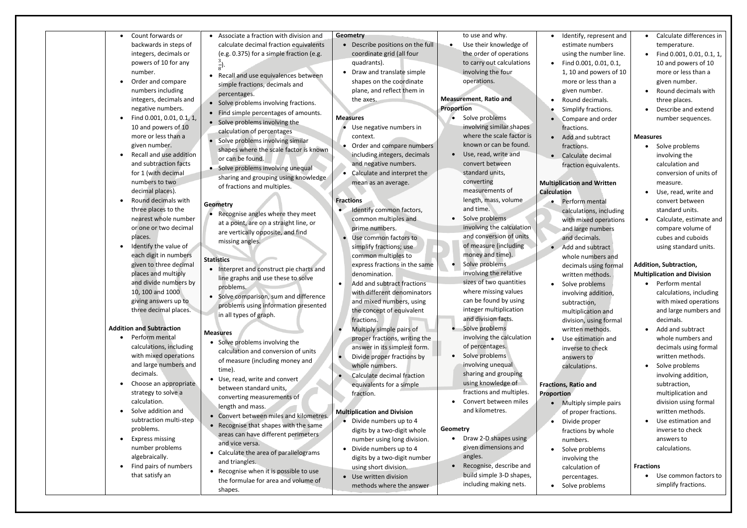| Count forwards or<br>$\bullet$<br>backwards in steps of<br>integers, decimals or<br>powers of 10 for any<br>number.<br>Order and compare<br>$\bullet$<br>numbers including<br>integers, decimals and<br>negative numbers.<br>Find 0.001, 0.01, 0.1, 1,<br>$\bullet$<br>10 and powers of 10<br>more or less than a<br>given number. | Associate a fraction with division and<br>calculate decimal fraction equivalents<br>(e.g. 0.375) for a simple fraction (e.g.<br>Recall and use equivalences between<br>$\bullet$<br>simple fractions, decimals and<br>percentages.<br>• Solve problems involving fractions.<br>Find simple percentages of amounts.<br>• Solve problems involving the<br>calculation of percentages<br>Solve problems involving similar<br>shapes where the scale factor is known | Geometry<br>• Describe positions on the full<br>coordinate grid (all four<br>quadrants).<br>Draw and translate simple<br>shapes on the coordinate<br>plane, and reflect them in<br>the axes.<br><b>Measures</b><br>Use negative numbers in<br>context.<br>Order and compare numbers | to use and why.<br>Use their knowledge of<br>$\bullet$<br>the order of operations<br>to carry out calculations<br>involving the four<br>operations.<br><b>Measurement, Ratio and</b><br>Proportion<br>Solve problems<br>$\bullet$<br>involving similar shapes<br>where the scale factor is<br>known or can be found. |               |
|------------------------------------------------------------------------------------------------------------------------------------------------------------------------------------------------------------------------------------------------------------------------------------------------------------------------------------|------------------------------------------------------------------------------------------------------------------------------------------------------------------------------------------------------------------------------------------------------------------------------------------------------------------------------------------------------------------------------------------------------------------------------------------------------------------|-------------------------------------------------------------------------------------------------------------------------------------------------------------------------------------------------------------------------------------------------------------------------------------|----------------------------------------------------------------------------------------------------------------------------------------------------------------------------------------------------------------------------------------------------------------------------------------------------------------------|---------------|
| Recall and use addition<br>$\bullet$<br>and subtraction facts<br>for 1 (with decimal<br>numbers to two<br>decimal places).                                                                                                                                                                                                         | or can be found.<br>Solve problems involving unequal<br>sharing and grouping using knowledge<br>of fractions and multiples.                                                                                                                                                                                                                                                                                                                                      | including integers, decimals<br>and negative numbers.<br>Calculate and interpret the<br>mean as an average.                                                                                                                                                                         | Use, read, write and<br>$\bullet$<br>convert between<br>standard units,<br>converting<br>measurements of                                                                                                                                                                                                             | Mult<br>Calcu |
| Round decimals with<br>$\bullet$<br>three places to the<br>nearest whole number<br>or one or two decimal<br>places.<br>Identify the value of<br>$\bullet$                                                                                                                                                                          | <b>Geometry</b><br>Recognise angles where they meet<br>at a point, are on a straight line, or<br>are vertically opposite, and find<br>missing angles.                                                                                                                                                                                                                                                                                                            | <b>Fractions</b><br>Identify common factors,<br>common multiples and<br>prime numbers.<br>Use common factors to<br>simplify fractions; use                                                                                                                                          | length, mass, volume<br>and time.<br>Solve problems<br>$\bullet$<br>involving the calculation<br>and conversion of units<br>of measure (including<br>money and time).                                                                                                                                                |               |
| each digit in numbers<br>given to three decimal<br>places and multiply<br>and divide numbers by<br>10, 100 and 1000<br>giving answers up to<br>three decimal places.                                                                                                                                                               | <b>Statistics</b><br>Interpret and construct pie charts and<br>$\bullet$<br>line graphs and use these to solve<br>problems.<br>Solve comparison, sum and difference<br>problems using information presented<br>in all types of graph.                                                                                                                                                                                                                            | common multiples to<br>express fractions in the same<br>denomination.<br>Add and subtract fractions<br>$\bullet$<br>with different denominators<br>and mixed numbers, using<br>the concept of equivalent<br>fractions.                                                              | Solve problems<br>involving the relative<br>sizes of two quantities<br>where missing values<br>can be found by using<br>integer multiplication<br>and division facts.                                                                                                                                                |               |
| <b>Addition and Subtraction</b><br>Perform mental<br>$\bullet$<br>calculations, including<br>with mixed operations<br>and large numbers and<br>decimals.<br>Choose an appropriate<br>٠<br>strategy to solve a<br>calculation.<br>Solve addition and<br>$\bullet$                                                                   | <b>Measures</b><br>• Solve problems involving the<br>calculation and conversion of units<br>of measure (including money and<br>time).<br>Use, read, write and convert<br>$\bullet$<br>between standard units,<br>converting measurements of<br>length and mass.                                                                                                                                                                                                  | Multiply simple pairs of<br>proper fractions, writing the<br>answer in its simplest form.<br>Divide proper fractions by<br>whole numbers.<br>Calculate decimal fraction<br>equivalents for a simple<br>fraction.<br><b>Multiplication and Division</b>                              | Solve problems<br>involving the calculation<br>of percentages.<br>Solve problems<br>$\bullet$<br>involving unequal<br>sharing and grouping<br>using knowledge of<br>fractions and multiples.<br>Convert between miles<br>and kilometres.                                                                             | Fract<br>Prop |
| subtraction multi-step<br>problems.<br><b>Express missing</b><br>$\bullet$<br>number problems<br>algebraically.<br>Find pairs of numbers<br>$\bullet$<br>that satisfy an                                                                                                                                                           | Convert between miles and kilometres.<br>• Recognise that shapes with the same<br>areas can have different perimeters<br>and vice versa.<br>Calculate the area of parallelograms<br>$\bullet$<br>and triangles.<br>Recognise when it is possible to use<br>$\bullet$<br>the formulae for area and volume of                                                                                                                                                      | • Divide numbers up to 4<br>digits by a two-digit whole<br>number using long division.<br>Divide numbers up to 4<br>digits by a two-digit number<br>using short division.<br>Use written division                                                                                   | Geometry<br>Draw 2-D shapes using<br>$\bullet$<br>given dimensions and<br>angles.<br>Recognise, describe and<br>build simple 3-D shapes,                                                                                                                                                                             |               |

shapes.

- Identify, represent and estimate numbers using the number line. • Find 0.001, 0.01, 0.1, 1, 10 and powers of 10 more or less than a
- given number.
- Round decimals.
- Simplify fractions.
- Compare and order fractions.
- Add and subtract fractions.
- Calculate decimal
- fraction equivalents.

## **Multiplication and Written Calculation**

- Perform mental calculations, including with mixed operations and large numbers and decimals.
- Add and subtract whole numbers and decimals using formal written methods.
- Solve problems
- involving addition, subtraction,
- multiplication and division, using formal written methods.
- Use estimation and inverse to check
- answers to
- calculations.

#### **Fractions, Ratio and**  *<u>ortion</u>*

methods where the answer

including making nets.

- Multiply simple pairs of proper fractions.
- Divide proper
- fractions by whole
- numbers.
- Solve problems
- involving the
- calculation of percentages.
- Solve problems
- Calculate differences in temperature.
- Find 0.001, 0.01, 0.1, 1, 10 and powers of 10 more or less than a given number.
- Round decimals with three places.
- Describe and extend number sequences.

## **Measures**

- Solve problems involving the calculation and conversion of units of measure.
- Use, read, write and convert between standard units.
- Calculate, estimate and compare volume of cubes and cuboids using standard units.

# **Addition, Subtraction, Multiplication and Division**

- Perform mental calculations, including with mixed operations and large numbers and decimals.
- Add and subtract whole numbers and decimals using formal written methods.
- Solve problems involving addition, subtraction, multiplication and division using formal
- written methods. • Use estimation and inverse to check answers to calculations.

## **Fractions**

• Use common factors to simplify fractions.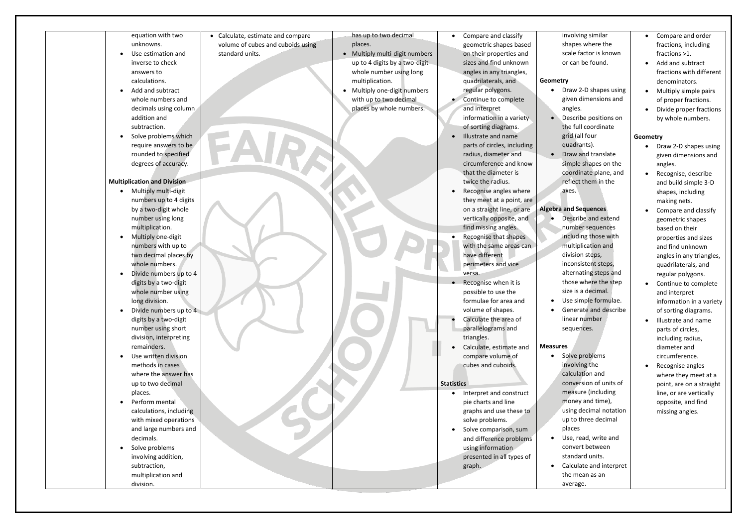equation with two unknowns.

- Use estimation and inverse to check answers to calculations.
- Add and subtract whole numbers and decimals using column addition and subtraction.
- Solve problems which require answers to be rounded to specified degrees of accuracy.

#### **Multiplication and Division**

- Multiply multi-digit numbers up to 4 digits by a two-digit whole number using long multiplication.
- Multiply one-digit numbers with up to two decimal places by whole numbers.
- Divide numbers up to 4 digits by a two-digit whole number using long division.
- Divide numbers up to 4 digits by a two-digit number using short division, interpreting remainders.
- Use written division methods in cases where the answer has up to two decimal places.
- Perform mental calculations, including with mixed operations and large numbers and decimals.
- Solve problems involving addition, subtraction, multiplication and division.

• Calculate, estimate and compare volume of cubes and cuboids using standard units.

has up to two decimal places.

- Multiply multi-digit numbers up to 4 digits by a two-digit whole number using long multiplication.
- Multiply one-digit numbers with up to two decimal places by whole numbers.

• Compare and classify geometric shapes based on their properties and sizes and find unknown angles in any triangles, quadrilaterals, and regular polygons.

- Continue to complete and interpret information in a variety of sorting diagrams.
- Illustrate and name parts of circles, including radius, diameter and circumference and know that the diameter is twice the radius.
- Recognise angles where they meet at a point, are on a straight line, or are vertically opposite, and find missing angles.
- Recognise that shapes with the same areas can have different perimeters and vice versa.
- Recognise when it is possible to use the
- formulae for area and volume of shapes. Calculate the area of
- parallelograms and triangles.
- Calculate, estimate and compare volume of cubes and cuboids.

#### **Statistics**

- Interpret and construct pie charts and line graphs and use these to solve problems.
- Solve comparison, sum and difference problems using information presented in all types of graph.

involving similar shapes where the scale factor is known or can be found.

## **Geometry**

- Draw 2-D shapes using given dimensions and angles.
	- Describe positions on the full coordinate
	- grid (all four
	- quadrants).
- Draw and translate simple shapes on the coordinate plane, and reflect them in the axes.

## **Algebra and Sequences**

• Describe and extend number sequences including those with multiplication and division steps, inconsistent steps, alternating steps and those where the step size is a decimal. • Use simple formulae. • Generate and describe linear number sequences.

## **Measures**

- Solve problems involving the calculation and conversion of units of measure (including money and time), using decimal notation up to three decimal places
	- Use, read, write and convert between
	- standard units.
	- Calculate and interpret
	- the mean as an average.
- Compare and order fractions, including fractions >1.
- Add and subtract fractions with different denominators.
- Multiply simple pairs of proper fractions.
- Divide proper fractions by whole numbers.

## **Geometry**

- Draw 2-D shapes using given dimensions and angles.
- Recognise, describe and build simple 3-D shapes, including making nets.
- Compare and classify geometric shapes based on their properties and sizes and find unknown angles in any triangles, quadrilaterals, and regular polygons.
- Continue to complete and interpret information in a variety
- of sorting diagrams. • Illustrate and name parts of circles, including radius, diameter and circumference.
- Recognise angles where they meet at a point, are on a straight line, or are vertically opposite, and find missing angles.